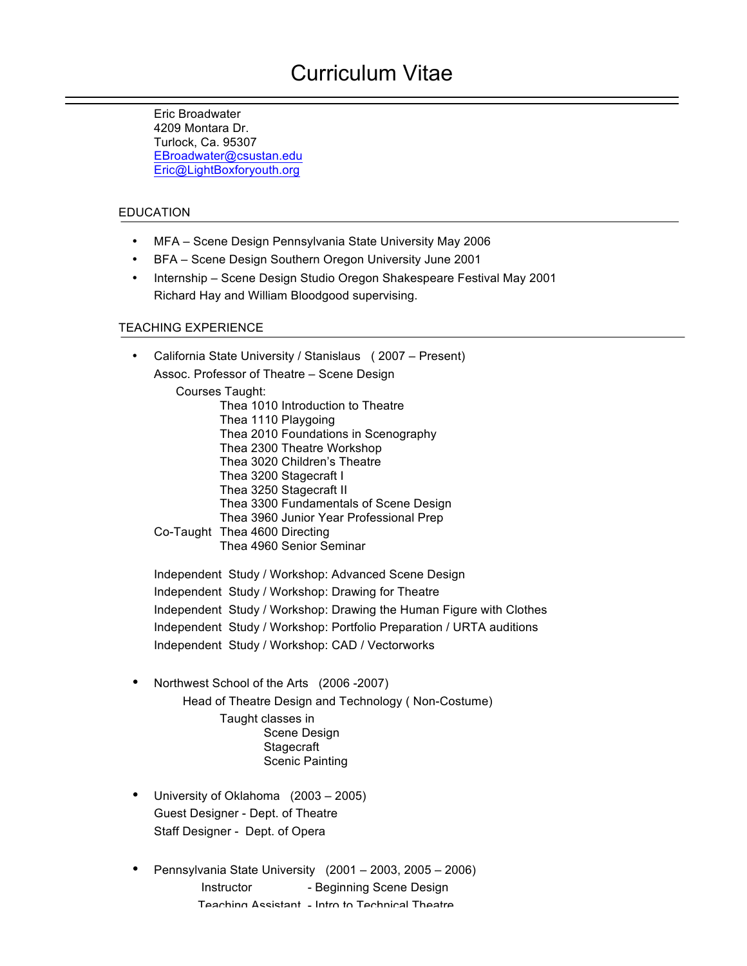# Curriculum Vitae

Eric Broadwater 4209 Montara Dr. Turlock, Ca. 95307 EBroadwater@csustan.edu Eric@LightBoxforyouth.org

#### EDUCATION

- MFA Scene Design Pennsylvania State University May 2006
- BFA Scene Design Southern Oregon University June 2001
- Internship Scene Design Studio Oregon Shakespeare Festival May 2001 Richard Hay and William Bloodgood supervising.

#### TEACHING EXPERIENCE

- California State University / Stanislaus ( 2007 Present) Assoc. Professor of Theatre – Scene Design Courses Taught: Thea 1010 Introduction to Theatre Thea 1110 Playgoing Thea 2010 Foundations in Scenography Thea 2300 Theatre Workshop Thea 3020 Children's Theatre Thea 3200 Stagecraft I Thea 3250 Stagecraft II Thea 3300 Fundamentals of Scene Design Thea 3960 Junior Year Professional Prep Co-Taught Thea 4600 Directing Thea 4960 Senior Seminar Independent Study / Workshop: Advanced Scene Design Independent Study / Workshop: Drawing for Theatre Independent Study / Workshop: Drawing the Human Figure with Clothes
	- Independent Study / Workshop: Portfolio Preparation / URTA auditions
	- Independent Study / Workshop: CAD / Vectorworks
- Northwest School of the Arts (2006 -2007) Head of Theatre Design and Technology ( Non-Costume) Taught classes in Scene Design **Stagecraft** Scenic Painting
- University of Oklahoma (2003 2005) Guest Designer - Dept. of Theatre Staff Designer - Dept. of Opera
- Pennsylvania State University (2001 2003, 2005 2006) Instructor - Beginning Scene Design Teaching Assistant - Intro to Technical Theatre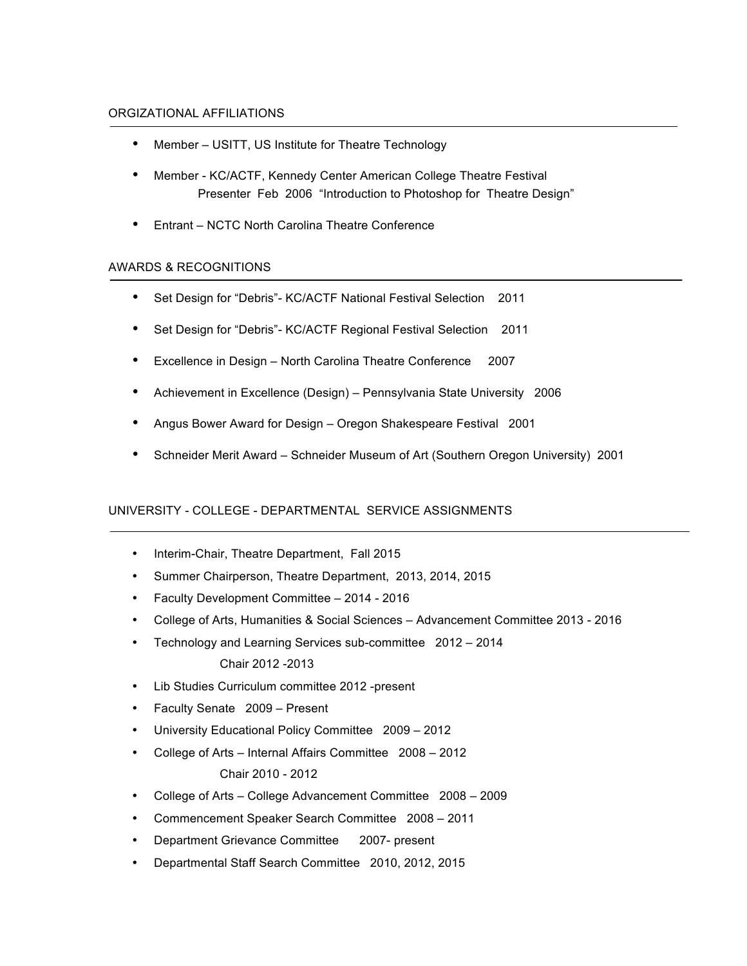#### ORGIZATIONAL AFFILIATIONS

- Member USITT, US Institute for Theatre Technology
- Member KC/ACTF, Kennedy Center American College Theatre Festival Presenter Feb 2006 "Introduction to Photoshop for Theatre Design"
- Entrant NCTC North Carolina Theatre Conference

### AWARDS & RECOGNITIONS

- Set Design for "Debris"- KC/ACTF National Festival Selection 2011
- Set Design for "Debris"- KC/ACTF Regional Festival Selection 2011
- Excellence in Design North Carolina Theatre Conference 2007
- Achievement in Excellence (Design) Pennsylvania State University 2006
- Angus Bower Award for Design Oregon Shakespeare Festival 2001
- Schneider Merit Award Schneider Museum of Art (Southern Oregon University) 2001

### UNIVERSITY - COLLEGE - DEPARTMENTAL SERVICE ASSIGNMENTS

- Interim-Chair, Theatre Department, Fall 2015
- Summer Chairperson, Theatre Department, 2013, 2014, 2015
- Faculty Development Committee 2014 2016
- College of Arts, Humanities & Social Sciences Advancement Committee 2013 2016
- Technology and Learning Services sub-committee 2012 2014 Chair 2012 -2013
- Lib Studies Curriculum committee 2012 -present
- Faculty Senate 2009 Present
- University Educational Policy Committee 2009 2012
- College of Arts Internal Affairs Committee 2008 2012 Chair 2010 - 2012
- College of Arts College Advancement Committee 2008 2009
- Commencement Speaker Search Committee 2008 2011
- Department Grievance Committee 2007- present
- Departmental Staff Search Committee 2010, 2012, 2015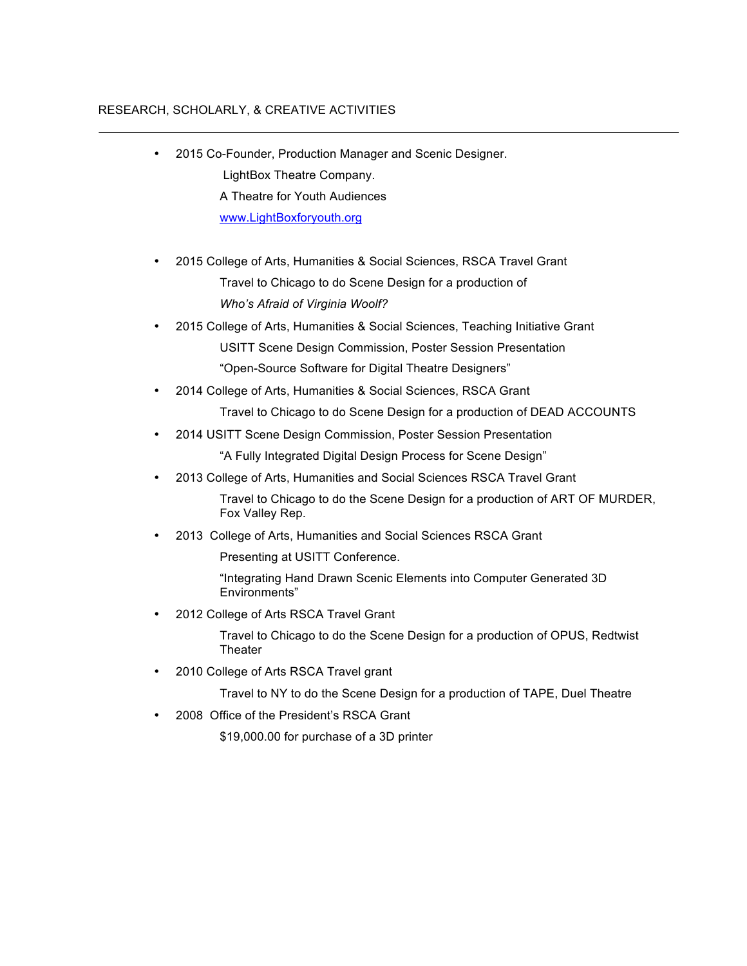## RESEARCH, SCHOLARLY, & CREATIVE ACTIVITIES

- 2015 Co-Founder, Production Manager and Scenic Designer. LightBox Theatre Company. A Theatre for Youth Audiences www.LightBoxforyouth.org
- 2015 College of Arts, Humanities & Social Sciences, RSCA Travel Grant Travel to Chicago to do Scene Design for a production of *Who's Afraid of Virginia Woolf?*
- 2015 College of Arts, Humanities & Social Sciences, Teaching Initiative Grant USITT Scene Design Commission, Poster Session Presentation "Open-Source Software for Digital Theatre Designers"
- 2014 College of Arts, Humanities & Social Sciences, RSCA Grant Travel to Chicago to do Scene Design for a production of DEAD ACCOUNTS
- 2014 USITT Scene Design Commission, Poster Session Presentation

"A Fully Integrated Digital Design Process for Scene Design"

• 2013 College of Arts, Humanities and Social Sciences RSCA Travel Grant

Travel to Chicago to do the Scene Design for a production of ART OF MURDER, Fox Valley Rep.

• 2013 College of Arts, Humanities and Social Sciences RSCA Grant

Presenting at USITT Conference.

"Integrating Hand Drawn Scenic Elements into Computer Generated 3D Environments"

• 2012 College of Arts RSCA Travel Grant

Travel to Chicago to do the Scene Design for a production of OPUS, Redtwist **Theater** 

• 2010 College of Arts RSCA Travel grant

Travel to NY to do the Scene Design for a production of TAPE, Duel Theatre

• 2008 Office of the President's RSCA Grant

\$19,000.00 for purchase of a 3D printer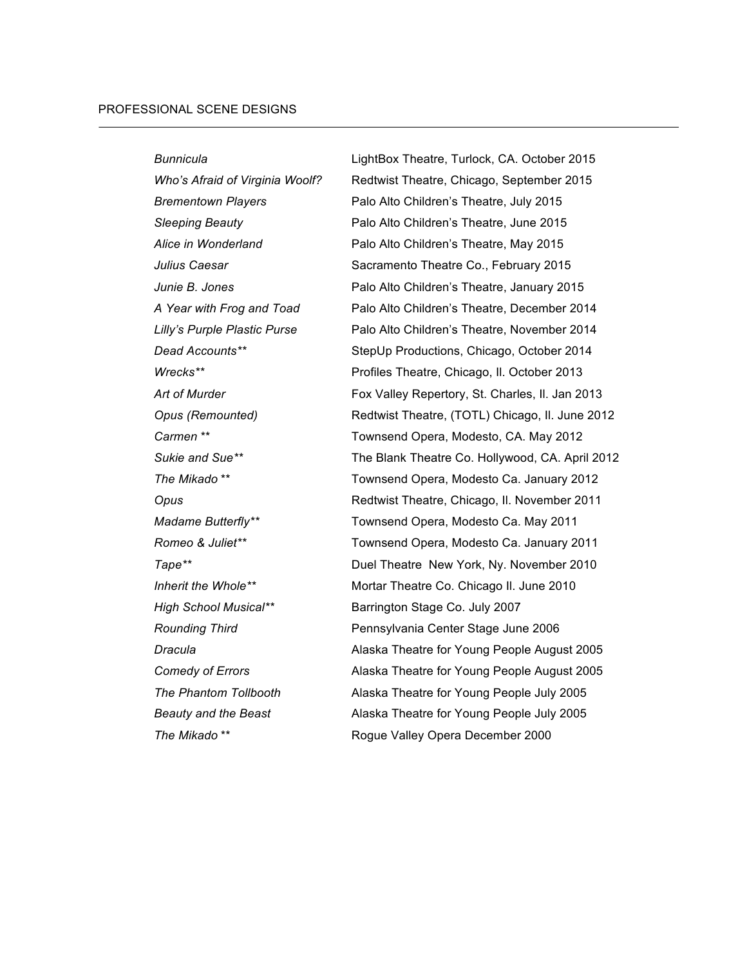*Bunnicula* LightBox Theatre, Turlock, CA. October 2015 Who's Afraid of Virginia Woolf? Redtwist Theatre, Chicago, September 2015 *Brementown Players* Palo Alto Children's Theatre, July 2015 *Sleeping Beauty* Palo Alto Children's Theatre, June 2015 *Alice in Wonderland* Palo Alto Children's Theatre, May 2015 *Julius Caesar* Sacramento Theatre Co., February 2015 *Junie B. Jones* **Palo Alto Children's Theatre, January 2015** *A Year with Frog and Toad* Palo Alto Children's Theatre, December 2014 *Lilly's Purple Plastic Purse* Palo Alto Children's Theatre, November 2014 *Dead Accounts\*\** StepUp Productions, Chicago, October 2014 *Wrecks\*\** Profiles Theatre, Chicago, Il. October 2013 Art of Murder **Fox Valley Repertory, St. Charles, II. Jan 2013** *Opus (Remounted)* Redtwist Theatre, (TOTL) Chicago, Il. June 2012 *Carmen* \*\* Townsend Opera, Modesto, CA. May 2012 *Sukie and Sue\*\** The Blank Theatre Co. Hollywood, CA. April 2012 *The Mikado \*\** Townsend Opera, Modesto Ca. January 2012 **Opus Redtwist Theatre, Chicago, II. November 2011** *Madame Butterfly\*\** Townsend Opera, Modesto Ca. May 2011 *Romeo & Juliet\*\** Townsend Opera, Modesto Ca. January 2011 *Tape\*\** Duel Theatre New York, Ny. November 2010 *Inherit the Whole\*\** Mortar Theatre Co. Chicago Il. June 2010 *High School Musical\*\** Barrington Stage Co. July 2007 *Rounding Third* Pennsylvania Center Stage June 2006 **Dracula Conserverse 2005 Alaska Theatre for Young People August 2005 Comedy of Errors Alaska Theatre for Young People August 2005** *The Phantom Tollbooth* Alaska Theatre for Young People July 2005 *Beauty and the Beast* Alaska Theatre for Young People July 2005 *The Mikado \*\** Rogue Valley Opera December 2000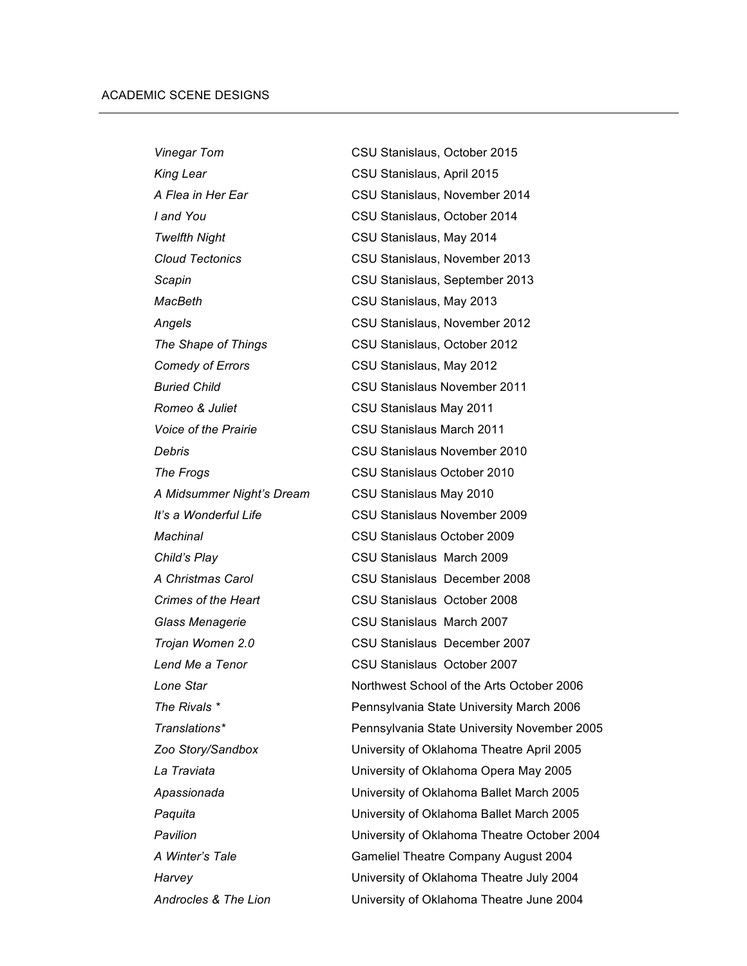| <b>Vinegar Tom</b>        | CSU Stanislaus, October 2015                |  |  |
|---------------------------|---------------------------------------------|--|--|
| King Lear                 | CSU Stanislaus, April 2015                  |  |  |
| A Flea in Her Ear         | CSU Stanislaus, November 2014               |  |  |
| I and You                 | CSU Stanislaus, October 2014                |  |  |
| <b>Twelfth Night</b>      | CSU Stanislaus, May 2014                    |  |  |
| <b>Cloud Tectonics</b>    | CSU Stanislaus, November 2013               |  |  |
| Scapin                    | CSU Stanislaus, September 2013              |  |  |
| MacBeth                   | CSU Stanislaus, May 2013                    |  |  |
| Angels                    | CSU Stanislaus, November 2012               |  |  |
| The Shape of Things       | CSU Stanislaus, October 2012                |  |  |
| <b>Comedy of Errors</b>   | CSU Stanislaus, May 2012                    |  |  |
| <b>Buried Child</b>       | <b>CSU Stanislaus November 2011</b>         |  |  |
| Romeo & Juliet            | CSU Stanislaus May 2011                     |  |  |
| Voice of the Prairie      | CSU Stanislaus March 2011                   |  |  |
| Debris                    | CSU Stanislaus November 2010                |  |  |
| The Frogs                 | <b>CSU Stanislaus October 2010</b>          |  |  |
| A Midsummer Night's Dream | CSU Stanislaus May 2010                     |  |  |
| It's a Wonderful Life     | CSU Stanislaus November 2009                |  |  |
| Machinal                  | CSU Stanislaus October 2009                 |  |  |
| Child's Play              | CSU Stanislaus March 2009                   |  |  |
| A Christmas Carol         | CSU Stanislaus December 2008                |  |  |
| Crimes of the Heart       | CSU Stanislaus October 2008                 |  |  |
| Glass Menagerie           | CSU Stanislaus March 2007                   |  |  |
| Trojan Women 2.0          | CSU Stanislaus December 2007                |  |  |
| Lend Me a Tenor           | CSU Stanislaus October 2007                 |  |  |
| Lone Star                 | Northwest School of the Arts October 2006   |  |  |
| The Rivals *              | Pennsylvania State University March 2006    |  |  |
| Translations*             | Pennsylvania State University November 2005 |  |  |
| Zoo Story/Sandbox         | University of Oklahoma Theatre April 2005   |  |  |
| La Traviata               | University of Oklahoma Opera May 2005       |  |  |
| Apassionada               | University of Oklahoma Ballet March 2005    |  |  |
| Paquita                   | University of Oklahoma Ballet March 2005    |  |  |
| Pavilion                  | University of Oklahoma Theatre October 2004 |  |  |
| A Winter's Tale           | Gameliel Theatre Company August 2004        |  |  |
| Harvey                    | University of Oklahoma Theatre July 2004    |  |  |
| Androcles & The Lion      | University of Oklahoma Theatre June 2004    |  |  |